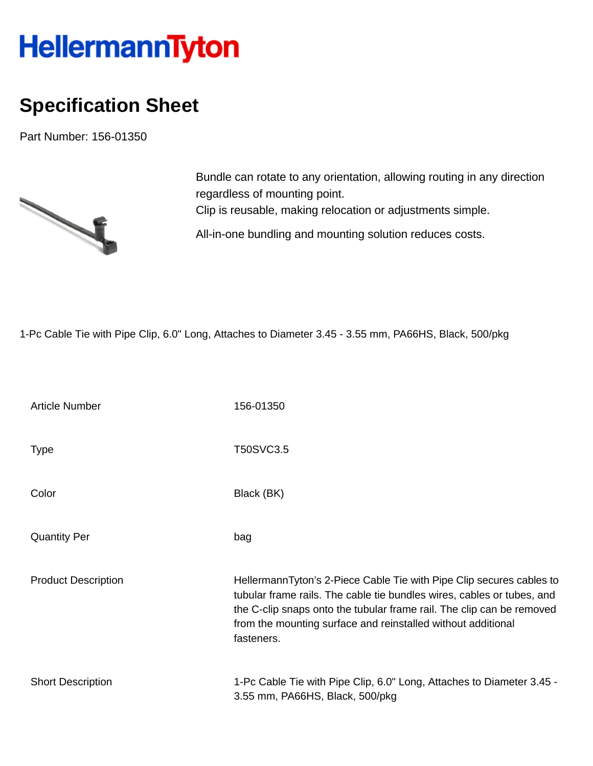## HellermannTyton

## **Specification Sheet**

Part Number: 156-01350



Bundle can rotate to any orientation, allowing routing in any direction regardless of mounting point. Clip is reusable, making relocation or adjustments simple. All-in-one bundling and mounting solution reduces costs.

1-Pc Cable Tie with Pipe Clip, 6.0" Long, Attaches to Diameter 3.45 - 3.55 mm, PA66HS, Black, 500/pkg

| <b>Article Number</b>      | 156-01350                                                                                                                                                                                                                                                                                             |
|----------------------------|-------------------------------------------------------------------------------------------------------------------------------------------------------------------------------------------------------------------------------------------------------------------------------------------------------|
| <b>Type</b>                | T50SVC3.5                                                                                                                                                                                                                                                                                             |
| Color                      | Black (BK)                                                                                                                                                                                                                                                                                            |
| <b>Quantity Per</b>        | bag                                                                                                                                                                                                                                                                                                   |
| <b>Product Description</b> | HellermannTyton's 2-Piece Cable Tie with Pipe Clip secures cables to<br>tubular frame rails. The cable tie bundles wires, cables or tubes, and<br>the C-clip snaps onto the tubular frame rail. The clip can be removed<br>from the mounting surface and reinstalled without additional<br>fasteners. |
| <b>Short Description</b>   | 1-Pc Cable Tie with Pipe Clip, 6.0" Long, Attaches to Diameter 3.45 -<br>3.55 mm, PA66HS, Black, 500/pkg                                                                                                                                                                                              |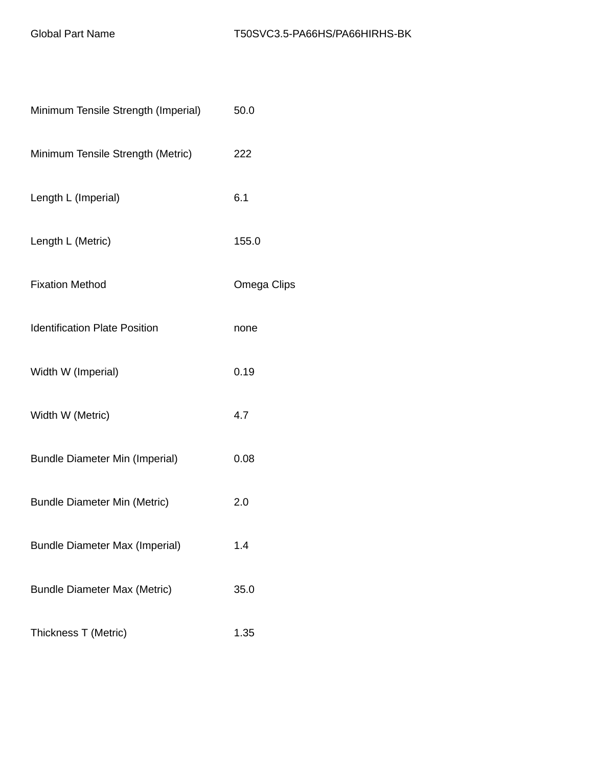| Minimum Tensile Strength (Imperial)   | 50.0        |
|---------------------------------------|-------------|
| Minimum Tensile Strength (Metric)     | 222         |
| Length L (Imperial)                   | 6.1         |
| Length L (Metric)                     | 155.0       |
| <b>Fixation Method</b>                | Omega Clips |
| <b>Identification Plate Position</b>  | none        |
| Width W (Imperial)                    | 0.19        |
| Width W (Metric)                      | 4.7         |
| <b>Bundle Diameter Min (Imperial)</b> | 0.08        |
| <b>Bundle Diameter Min (Metric)</b>   | 2.0         |
| <b>Bundle Diameter Max (Imperial)</b> | 1.4         |
| <b>Bundle Diameter Max (Metric)</b>   | 35.0        |
| Thickness T (Metric)                  | 1.35        |